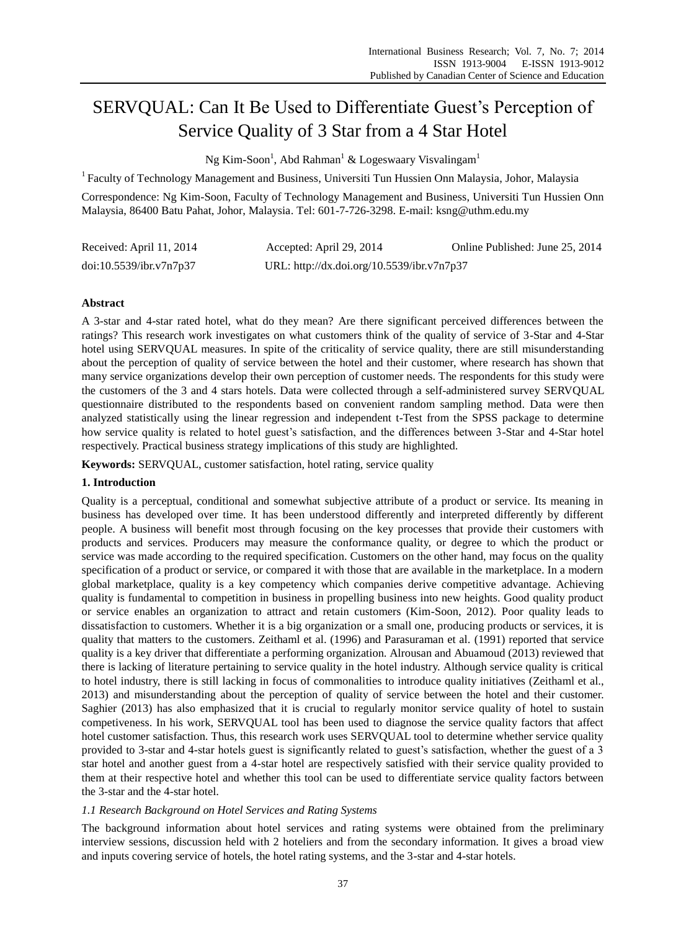# SERVQUAL: Can It Be Used to Differentiate Guest's Perception of Service Quality of 3 Star from a 4 Star Hotel

Ng Kim-Soon $^1$ , Abd Rahman $^1$  & Logeswaary Visvalingam $^1$ 

<sup>1</sup> Faculty of Technology Management and Business, Universiti Tun Hussien Onn Malaysia, Johor, Malaysia

Correspondence: Ng Kim-Soon, Faculty of Technology Management and Business, Universiti Tun Hussien Onn Malaysia, 86400 Batu Pahat, Johor, Malaysia. Tel: 601-7-726-3298. E-mail: ksng@uthm.edu.my

| Received: April 11, 2014 | Accepted: April 29, 2014                   | Online Published: June 25, 2014 |
|--------------------------|--------------------------------------------|---------------------------------|
| doi:10.5539/ibr.v7n7p37  | URL: http://dx.doi.org/10.5539/ibr.v7n7p37 |                                 |

# **Abstract**

A 3-star and 4-star rated hotel, what do they mean? Are there significant perceived differences between the ratings? This research work investigates on what customers think of the quality of service of 3-Star and 4-Star hotel using SERVQUAL measures. In spite of the criticality of service quality, there are still misunderstanding about the perception of quality of service between the hotel and their customer, where research has shown that many service organizations develop their own perception of customer needs. The respondents for this study were the customers of the 3 and 4 stars hotels. Data were collected through a self-administered survey SERVQUAL questionnaire distributed to the respondents based on convenient random sampling method. Data were then analyzed statistically using the linear regression and independent t-Test from the SPSS package to determine how service quality is related to hotel guest's satisfaction, and the differences between 3-Star and 4-Star hotel respectively. Practical business strategy implications of this study are highlighted.

**Keywords:** SERVQUAL, customer satisfaction, hotel rating, service quality

## **1. Introduction**

Quality is a perceptual, conditional and somewhat subjective attribute of a product or service. Its meaning in business has developed over time. It has been understood differently and interpreted differently by different people. A business will benefit most through focusing on the key processes that provide their customers with products and services. Producers may measure the conformance quality, or degree to which the product or service was made according to the required specification. Customers on the other hand, may focus on the quality specification of a product or service, or compared it with those that are available in the marketplace. In a modern global marketplace, quality is a key competency which companies derive competitive advantage. Achieving quality is fundamental to competition in business in propelling business into new heights. Good quality product or service enables an organization to attract and retain customers (Kim-Soon, 2012). Poor quality leads to dissatisfaction to customers. Whether it is a big organization or a small one, producing products or services, it is quality that matters to the customers. Zeithaml et al. (1996) and Parasuraman et al. (1991) reported that service quality is a key driver that differentiate a performing organization. Alrousan and Abuamoud (2013) reviewed that there is lacking of literature pertaining to service quality in the hotel industry. Although service quality is critical to hotel industry, there is still lacking in focus of commonalities to introduce quality initiatives (Zeithaml et al., 2013) and misunderstanding about the perception of quality of service between the hotel and their customer. Saghier (2013) has also emphasized that it is crucial to regularly monitor service quality of hotel to sustain competiveness. In his work, SERVQUAL tool has been used to diagnose the service quality factors that affect hotel customer satisfaction. Thus, this research work uses SERVQUAL tool to determine whether service quality provided to 3-star and 4-star hotels guest is significantly related to guest's satisfaction, whether the guest of a 3 star hotel and another guest from a 4-star hotel are respectively satisfied with their service quality provided to them at their respective hotel and whether this tool can be used to differentiate service quality factors between the 3-star and the 4-star hotel.

## *1.1 Research Background on Hotel Services and Rating Systems*

The background information about hotel services and rating systems were obtained from the preliminary interview sessions, discussion held with 2 hoteliers and from the secondary information. It gives a broad view and inputs covering service of hotels, the hotel rating systems, and the 3-star and 4-star hotels.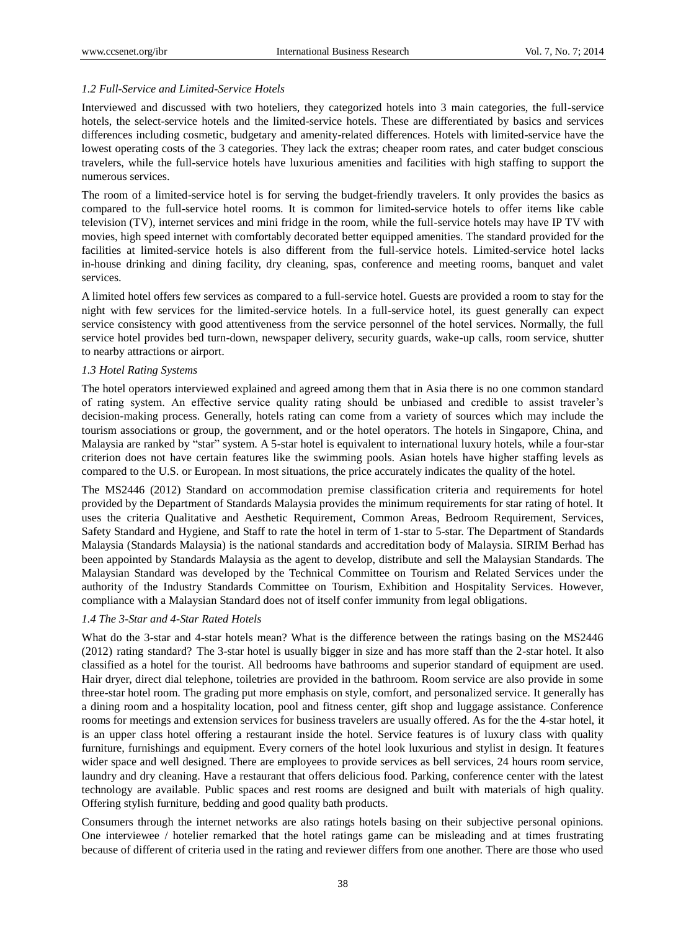# *1.2 Full-Service and Limited-Service Hotels*

Interviewed and discussed with two hoteliers, they categorized hotels into 3 main categories, the full-service hotels, the select-service hotels and the limited-service hotels. These are differentiated by basics and services differences including cosmetic, budgetary and amenity-related differences. Hotels with limited-service have the lowest operating costs of the 3 categories. They lack the extras; cheaper room rates, and cater budget conscious travelers, while the full-service hotels have luxurious amenities and facilities with high staffing to support the numerous services.

The room of a limited-service hotel is for serving the budget-friendly travelers. It only provides the basics as compared to the full-service hotel rooms. It is common for limited-service hotels to offer items like cable television (TV), internet services and mini fridge in the room, while the full-service hotels may have IP TV with movies, high speed internet with comfortably decorated better equipped amenities. The standard provided for the facilities at limited-service hotels is also different from the full-service hotels. Limited-service hotel lacks in-house drinking and dining facility, dry cleaning, spas, conference and meeting rooms, banquet and valet services.

A limited hotel offers few services as compared to a full-service hotel. Guests are provided a room to stay for the night with few services for the limited-service hotels. In a full-service hotel, its guest generally can expect service consistency with good attentiveness from the service personnel of the hotel services. Normally, the full service hotel provides bed turn-down, newspaper delivery, security guards, wake-up calls, room service, shutter to nearby attractions or airport.

# *1.3 Hotel Rating Systems*

The hotel operators interviewed explained and agreed among them that in Asia there is no one common standard of rating system. An effective service quality rating should be unbiased and credible to assist traveler's decision-making process. Generally, hotels rating can come from a variety of sources which may include the tourism associations or group, the government, and or the hotel operators. The hotels in Singapore, China, and Malaysia are ranked by "star" system. A 5-star hotel is equivalent to international luxury hotels, while a four-star criterion does not have certain features like the swimming pools. Asian hotels have higher staffing levels as compared to the U.S. or European. In most situations, the price accurately indicates the quality of the hotel.

The MS2446 (2012) Standard on accommodation premise classification criteria and requirements for hotel provided by the Department of Standards Malaysia provides the minimum requirements for star rating of hotel. It uses the criteria Qualitative and Aesthetic Requirement, Common Areas, Bedroom Requirement, Services, Safety Standard and Hygiene, and Staff to rate the hotel in term of 1-star to 5-star. The Department of Standards Malaysia (Standards Malaysia) is the national standards and accreditation body of Malaysia. SIRIM Berhad has been appointed by Standards Malaysia as the agent to develop, distribute and sell the Malaysian Standards. The Malaysian Standard was developed by the Technical Committee on Tourism and Related Services under the authority of the Industry Standards Committee on Tourism, Exhibition and Hospitality Services. However, compliance with a Malaysian Standard does not of itself confer immunity from legal obligations.

## *1.4 The 3-Star and 4-Star Rated Hotels*

What do the 3-star and 4-star hotels mean? What is the difference between the ratings basing on the MS2446 (2012) rating standard? The 3-star hotel is usually bigger in size and has more staff than the 2-star hotel. It also classified as a hotel for the tourist. All bedrooms have bathrooms and superior standard of equipment are used. Hair dryer, direct dial telephone, toiletries are provided in the bathroom. Room service are also provide in some three-star hotel room. The grading put more emphasis on style, comfort, and personalized service. It generally has a dining room and a hospitality location, pool and fitness center, gift shop and luggage assistance. Conference rooms for meetings and extension services for business travelers are usually offered. As for the the 4-star hotel, it is an upper class hotel offering a restaurant inside the hotel. Service features is of luxury class with quality furniture, furnishings and equipment. Every corners of the hotel look luxurious and stylist in design. It features wider space and well designed. There are employees to provide services as bell services, 24 hours room service, laundry and dry cleaning. Have a restaurant that offers delicious food. Parking, conference center with the latest technology are available. Public spaces and rest rooms are designed and built with materials of high quality. Offering stylish furniture, bedding and good quality bath products.

Consumers through the internet networks are also ratings hotels basing on their subjective personal opinions. One interviewee / hotelier remarked that the hotel ratings game can be misleading and at times frustrating because of different of criteria used in the rating and reviewer differs from one another. There are those who used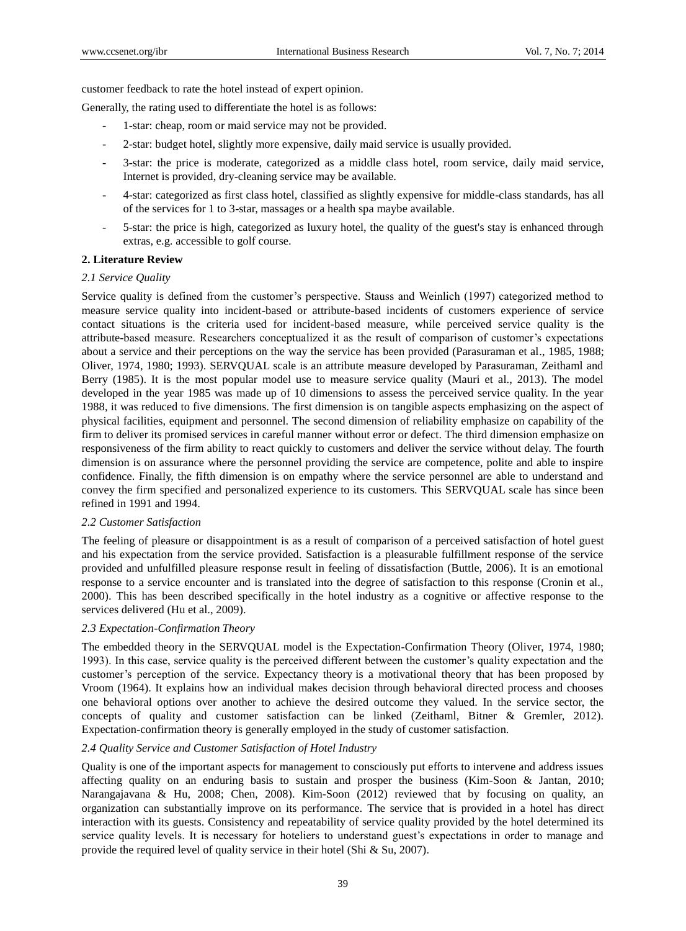customer feedback to rate the hotel instead of expert opinion.

Generally, the rating used to differentiate the hotel is as follows:

- 1-star: cheap, room or maid service may not be provided.
- 2-star: budget hotel, slightly more expensive, daily maid service is usually provided.
- 3-star: the price is moderate, categorized as a middle class hotel, room service, daily maid service, Internet is provided, dry-cleaning service may be available.
- 4-star: categorized as first class hotel, classified as slightly expensive for middle-class standards, has all of the services for 1 to 3-star, massages or a health spa maybe available.
- 5-star: the price is high, categorized as luxury hotel, the quality of the guest's stay is enhanced through extras, e.g. accessible to golf course.

#### **2. Literature Review**

#### *2.1 Service Quality*

Service quality is defined from the customer's perspective. Stauss and Weinlich (1997) categorized method to measure service quality into incident-based or attribute-based incidents of customers experience of service contact situations is the criteria used for incident-based measure, while perceived service quality is the attribute-based measure. Researchers conceptualized it as the result of comparison of customer's expectations about a service and their perceptions on the way the service has been provided (Parasuraman et al., 1985, 1988; Oliver, 1974, 1980; 1993). SERVQUAL scale is an attribute measure developed by Parasuraman, Zeithaml and Berry (1985). It is the most popular model use to measure service quality (Mauri et al., 2013). The model developed in the year 1985 was made up of 10 dimensions to assess the perceived service quality. In the year 1988, it was reduced to five dimensions. The first dimension is on tangible aspects emphasizing on the aspect of physical facilities, equipment and personnel. The second dimension of reliability emphasize on capability of the firm to deliver its promised services in careful manner without error or defect. The third dimension emphasize on responsiveness of the firm ability to react quickly to customers and deliver the service without delay. The fourth dimension is on assurance where the personnel providing the service are competence, polite and able to inspire confidence. Finally, the fifth dimension is on empathy where the service personnel are able to understand and convey the firm specified and personalized experience to its customers. This SERVQUAL scale has since been refined in 1991 and 1994.

#### *2.2 Customer Satisfaction*

The feeling of pleasure or disappointment is as a result of comparison of a perceived satisfaction of hotel guest and his expectation from the service provided. Satisfaction is a pleasurable fulfillment response of the service provided and unfulfilled pleasure response result in feeling of dissatisfaction (Buttle, 2006). It is an emotional response to a service encounter and is translated into the degree of satisfaction to this response (Cronin et al., 2000). This has been described specifically in the hotel industry as a cognitive or affective response to the services delivered (Hu et al., 2009).

#### *2.3 Expectation-Confirmation Theory*

The embedded theory in the SERVQUAL model is the Expectation-Confirmation Theory (Oliver, 1974, 1980; 1993). In this case, service quality is the perceived different between the customer's quality expectation and the customer's perception of the service. Expectancy theory is a motivational theory that has been proposed by Vroom (1964). It explains how an individual makes decision through behavioral directed process and chooses one behavioral options over another to achieve the desired outcome they valued. In the service sector, the concepts of quality and customer satisfaction can be linked (Zeithaml, Bitner & Gremler, 2012). Expectation-confirmation theory is generally employed in the study of customer satisfaction.

#### *2.4 Quality Service and Customer Satisfaction of Hotel Industry*

Quality is one of the important aspects for management to consciously put efforts to intervene and address issues affecting quality on an enduring basis to sustain and prosper the business (Kim-Soon & Jantan, 2010; Narangajavana & Hu, 2008; Chen, 2008). Kim-Soon (2012) reviewed that by focusing on quality, an organization can substantially improve on its performance. The service that is provided in a hotel has direct interaction with its guests. Consistency and repeatability of service quality provided by the hotel determined its service quality levels. It is necessary for hoteliers to understand guest's expectations in order to manage and provide the required level of quality service in their hotel (Shi & Su, 2007).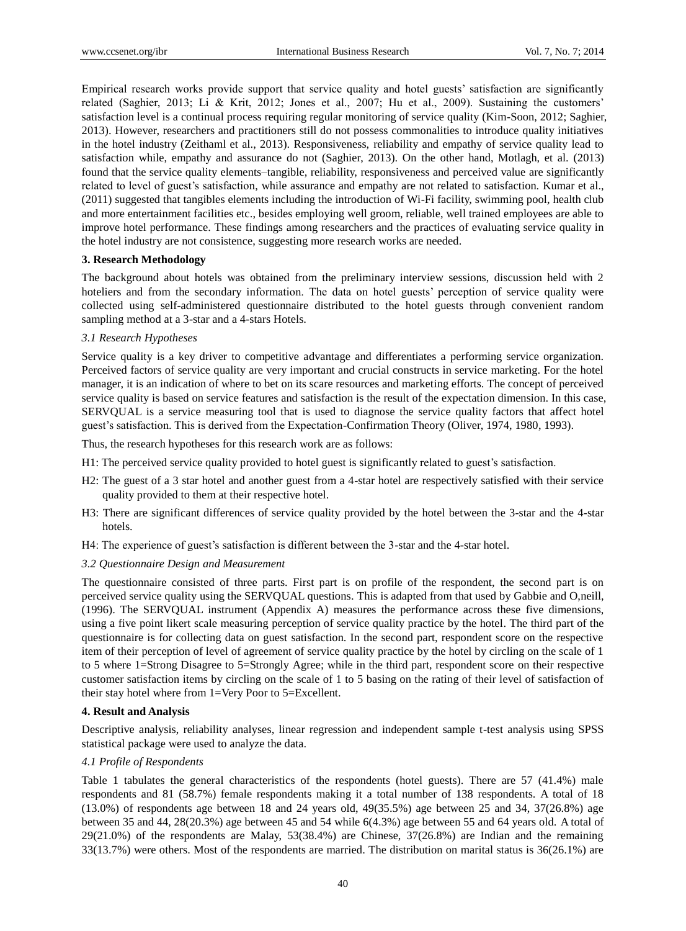Empirical research works provide support that service quality and hotel guests' satisfaction are significantly related (Saghier, 2013; Li & Krit, 2012; Jones et al., 2007; Hu et al., 2009). Sustaining the customers' satisfaction level is a continual process requiring regular monitoring of service quality (Kim-Soon, 2012; Saghier, 2013). However, researchers and practitioners still do not possess commonalities to introduce quality initiatives in the hotel industry (Zeithaml et al., 2013). Responsiveness, reliability and empathy of service quality lead to satisfaction while, empathy and assurance do not (Saghier, 2013). On the other hand, Motlagh, et al. (2013) found that the service quality elements–tangible, reliability, responsiveness and perceived value are significantly related to level of guest's satisfaction, while assurance and empathy are not related to satisfaction. Kumar et al., (2011) suggested that tangibles elements including the introduction of Wi-Fi facility, swimming pool, health club and more entertainment facilities etc., besides employing well groom, reliable, well trained employees are able to improve hotel performance. These findings among researchers and the practices of evaluating service quality in the hotel industry are not consistence, suggesting more research works are needed.

## **3. Research Methodology**

The background about hotels was obtained from the preliminary interview sessions, discussion held with 2 hoteliers and from the secondary information. The data on hotel guests' perception of service quality were collected using self-administered questionnaire distributed to the hotel guests through convenient random sampling method at a 3-star and a 4-stars Hotels.

# *3.1 Research Hypotheses*

Service quality is a key driver to competitive advantage and differentiates a performing service organization. Perceived factors of service quality are very important and crucial constructs in service marketing. For the hotel manager, it is an indication of where to bet on its scare resources and marketing efforts. The concept of perceived service quality is based on service features and satisfaction is the result of the expectation dimension. In this case, SERVQUAL is a service measuring tool that is used to diagnose the service quality factors that affect hotel guest's satisfaction. This is derived from the Expectation-Confirmation Theory (Oliver, 1974, 1980, 1993).

Thus, the research hypotheses for this research work are as follows:

- H1: The perceived service quality provided to hotel guest is significantly related to guest's satisfaction.
- H2: The guest of a 3 star hotel and another guest from a 4-star hotel are respectively satisfied with their service quality provided to them at their respective hotel.
- H3: There are significant differences of service quality provided by the hotel between the 3-star and the 4-star hotels.
- H4: The experience of guest's satisfaction is different between the 3-star and the 4-star hotel.

# *3.2 Questionnaire Design and Measurement*

The questionnaire consisted of three parts. First part is on profile of the respondent, the second part is on perceived service quality using the SERVQUAL questions. This is adapted from that used by Gabbie and O,neill, (1996). The SERVQUAL instrument (Appendix A) measures the performance across these five dimensions, using a five point likert scale measuring perception of service quality practice by the hotel. The third part of the questionnaire is for collecting data on guest satisfaction. In the second part, respondent score on the respective item of their perception of level of agreement of service quality practice by the hotel by circling on the scale of 1 to 5 where 1=Strong Disagree to 5=Strongly Agree; while in the third part, respondent score on their respective customer satisfaction items by circling on the scale of 1 to 5 basing on the rating of their level of satisfaction of their stay hotel where from 1=Very Poor to 5=Excellent.

## **4. Result and Analysis**

Descriptive analysis, reliability analyses, linear regression and independent sample t-test analysis using SPSS statistical package were used to analyze the data.

# *4.1 Profile of Respondents*

Table 1 tabulates the general characteristics of the respondents (hotel guests). There are 57 (41.4%) male respondents and 81 (58.7%) female respondents making it a total number of 138 respondents. A total of 18 (13.0%) of respondents age between 18 and 24 years old, 49(35.5%) age between 25 and 34, 37(26.8%) age between 35 and 44, 28(20.3%) age between 45 and 54 while 6(4.3%) age between 55 and 64 years old. A total of  $29(21.0%)$  of the respondents are Malay,  $53(38.4%)$  are Chinese,  $37(26.8%)$  are Indian and the remaining 33(13.7%) were others. Most of the respondents are married. The distribution on marital status is 36(26.1%) are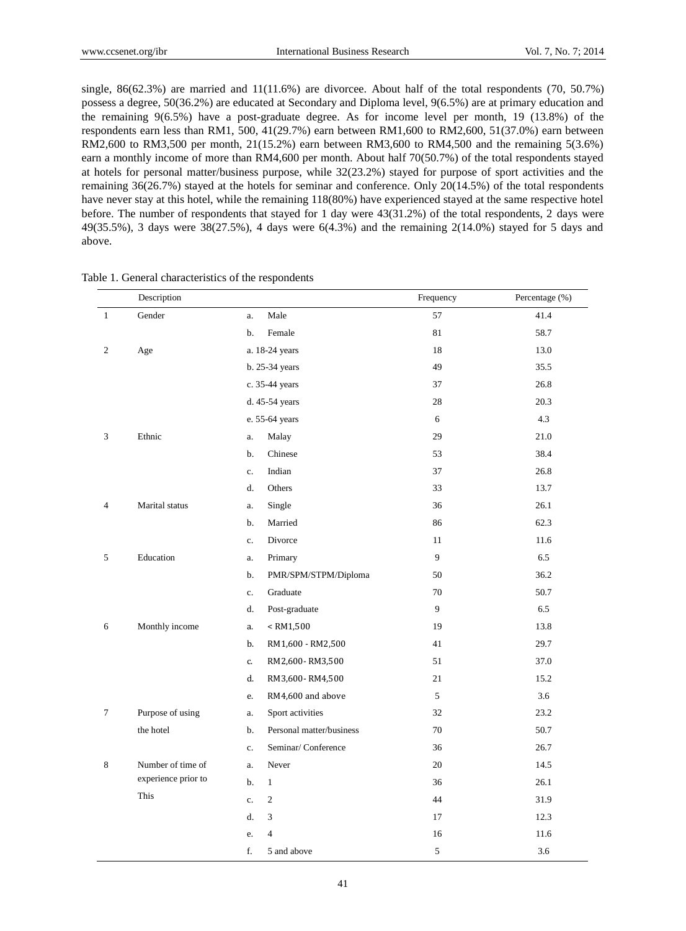single,  $86(62.3%)$  are married and  $11(11.6%)$  are divorcee. About half of the total respondents (70, 50.7%) possess a degree, 50(36.2%) are educated at Secondary and Diploma level, 9(6.5%) are at primary education and the remaining 9(6.5%) have a post-graduate degree. As for income level per month, 19 (13.8%) of the respondents earn less than RM1, 500, 41(29.7%) earn between RM1,600 to RM2,600, 51(37.0%) earn between RM2,600 to RM3,500 per month, 21(15.2%) earn between RM3,600 to RM4,500 and the remaining 5(3.6%) earn a monthly income of more than RM4,600 per month. About half 70(50.7%) of the total respondents stayed at hotels for personal matter/business purpose, while 32(23.2%) stayed for purpose of sport activities and the remaining 36(26.7%) stayed at the hotels for seminar and conference. Only 20(14.5%) of the total respondents have never stay at this hotel, while the remaining 118(80%) have experienced stayed at the same respective hotel before. The number of respondents that stayed for 1 day were 43(31.2%) of the total respondents, 2 days were 49(35.5%), 3 days were 38(27.5%), 4 days were 6(4.3%) and the remaining 2(14.0%) stayed for 5 days and above.

|                  | Description         |                                | Frequency | Percentage (%) |
|------------------|---------------------|--------------------------------|-----------|----------------|
| $\mathbf{1}$     | Gender              | Male<br>a.                     | 57        | 41.4           |
|                  |                     | Female<br>b.                   | 81        | 58.7           |
| $\overline{c}$   | Age                 | a. 18-24 years                 | 18        | 13.0           |
|                  |                     | b. 25-34 years                 | 49        | 35.5           |
|                  |                     | c. 35-44 years                 | 37        | 26.8           |
|                  |                     | d. 45-54 years                 | 28        | 20.3           |
|                  |                     | e. 55-64 years                 | 6         | 4.3            |
| 3                | Ethnic              | Malay<br>a.                    | 29        | 21.0           |
|                  |                     | Chinese<br>b.                  | 53        | 38.4           |
|                  |                     | Indian<br>c.                   | 37        | 26.8           |
|                  |                     | Others<br>d.                   | 33        | 13.7           |
| $\overline{4}$   | Marital status      | Single<br>a.                   | 36        | 26.1           |
|                  |                     | Married<br>b.                  | 86        | 62.3           |
|                  |                     | Divorce<br>c.                  | 11        | 11.6           |
| 5                | Education           | Primary<br>a.                  | 9         | 6.5            |
|                  |                     | b.<br>PMR/SPM/STPM/Diploma     | 50        | 36.2           |
|                  |                     | Graduate<br>c.                 | 70        | 50.7           |
|                  |                     | d.<br>Post-graduate            | 9         | 6.5            |
| 6                | Monthly income      | $<$ RM1,500 $\,$<br>a.         | 19        | 13.8           |
|                  |                     | b.<br>RM1,600 - RM2,500        | 41        | 29.7           |
|                  |                     | RM2,600-RM3,500<br>c.          | 51        | 37.0           |
|                  |                     | d.<br>RM3,600-RM4,500          | 21        | 15.2           |
|                  |                     | RM4,600 and above<br>e.        | 5         | 3.6            |
| $\boldsymbol{7}$ | Purpose of using    | Sport activities<br>a.         | 32        | 23.2           |
|                  | the hotel           | Personal matter/business<br>b. | 70        | 50.7           |
|                  |                     | Seminar/Conference<br>c.       | 36        | 26.7           |
| 8                | Number of time of   | Never<br>a.                    | 20        | 14.5           |
|                  | experience prior to | $\mathbf{1}$<br>b.             | 36        | 26.1           |
|                  | This                | $\overline{c}$<br>c.           | 44        | 31.9           |
|                  |                     | 3<br>d.                        | 17        | 12.3           |
|                  |                     | $\overline{4}$<br>e.           | 16        | 11.6           |
|                  |                     | f.<br>5 and above              | 5         | 3.6            |

| Table 1. General characteristics of the respondents |  |  |  |
|-----------------------------------------------------|--|--|--|
|-----------------------------------------------------|--|--|--|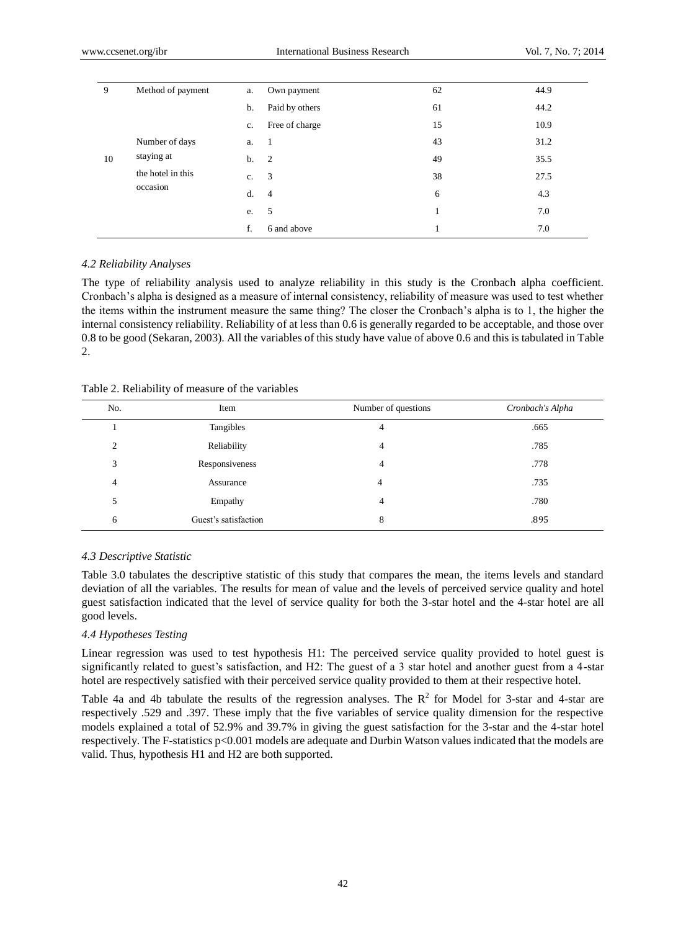| 9  | Method of payment             | a. | Own payment             | 62 | 44.9 |
|----|-------------------------------|----|-------------------------|----|------|
|    |                               | b. | Paid by others          | 61 | 44.2 |
|    |                               | c. | Free of charge          | 15 | 10.9 |
|    | Number of days                | a. | $\overline{1}$          | 43 | 31.2 |
| 10 | staying at                    | b. | 2                       | 49 | 35.5 |
|    | the hotel in this<br>occasion | c. | $\overline{\mathbf{3}}$ | 38 | 27.5 |
|    |                               | d. | $\overline{4}$          | 6  | 4.3  |
|    |                               | e. | 5                       | 1  | 7.0  |
|    |                               | f. | 6 and above             | 1  | 7.0  |

#### *4.2 Reliability Analyses*

The type of reliability analysis used to analyze reliability in this study is the Cronbach alpha coefficient. Cronbach's alpha is designed as a measure of internal consistency, reliability of measure was used to test whether the items within the instrument measure the same thing? The closer the Cronbach's alpha is to 1, the higher the internal consistency reliability. Reliability of at less than 0.6 is generally regarded to be acceptable, and those over 0.8 to be good (Sekaran, 2003). All the variables of this study have value of above 0.6 and this is tabulated in Table 2.

#### Table 2. Reliability of measure of the variables

| No.            | Item                 | Number of questions | Cronbach's Alpha |
|----------------|----------------------|---------------------|------------------|
|                | Tangibles            | 4                   | .665             |
| $\overline{2}$ | Reliability          | $\overline{4}$      | .785             |
| 3              | Responsiveness       | 4                   | .778             |
| $\overline{4}$ | Assurance            | 4                   | .735             |
| 5              | Empathy              | 4                   | .780             |
| 6              | Guest's satisfaction | 8                   | .895             |

#### *4.3 Descriptive Statistic*

Table 3.0 tabulates the descriptive statistic of this study that compares the mean, the items levels and standard deviation of all the variables. The results for mean of value and the levels of perceived service quality and hotel guest satisfaction indicated that the level of service quality for both the 3-star hotel and the 4-star hotel are all good levels.

#### *4.4 Hypotheses Testing*

Linear regression was used to test hypothesis H1: The perceived service quality provided to hotel guest is significantly related to guest's satisfaction, and H2: The guest of a 3 star hotel and another guest from a 4-star hotel are respectively satisfied with their perceived service quality provided to them at their respective hotel.

Table 4a and 4b tabulate the results of the regression analyses. The  $R^2$  for Model for 3-star and 4-star are respectively .529 and .397. These imply that the five variables of service quality dimension for the respective models explained a total of 52.9% and 39.7% in giving the guest satisfaction for the 3-star and the 4-star hotel respectively. The F-statistics p<0.001 models are adequate and Durbin Watson values indicated that the models are valid. Thus, hypothesis H1 and H2 are both supported.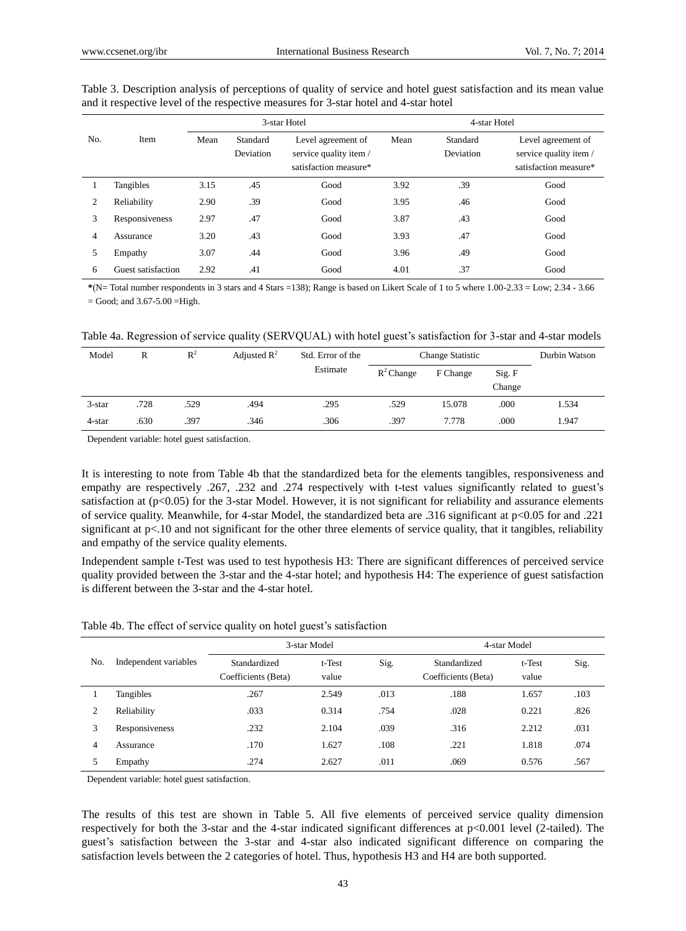|     |                    |      |                                                                                                | 3-star Hotel |      | 4-star Hotel          |                                                                       |  |  |
|-----|--------------------|------|------------------------------------------------------------------------------------------------|--------------|------|-----------------------|-----------------------------------------------------------------------|--|--|
| No. | Item               | Mean | Standard<br>Level agreement of<br>Deviation<br>service quality item /<br>satisfaction measure* |              | Mean | Standard<br>Deviation | Level agreement of<br>service quality item /<br>satisfaction measure* |  |  |
|     | Tangibles          | 3.15 | .45                                                                                            | Good         | 3.92 | .39                   | Good                                                                  |  |  |
| 2   | Reliability        | 2.90 | .39                                                                                            | Good         | 3.95 | .46                   | Good                                                                  |  |  |
| 3   | Responsiveness     | 2.97 | .47                                                                                            | Good         | 3.87 | .43                   | Good                                                                  |  |  |
| 4   | Assurance          | 3.20 | .43                                                                                            | Good         | 3.93 | .47                   | Good                                                                  |  |  |
| 5   | Empathy            | 3.07 | .44                                                                                            | Good         | 3.96 | .49                   | Good                                                                  |  |  |
| 6   | Guest satisfaction | 2.92 | .41                                                                                            | Good         | 4.01 | .37                   | Good                                                                  |  |  |

Table 3. Description analysis of perceptions of quality of service and hotel guest satisfaction and its mean value and it respective level of the respective measures for 3-star hotel and 4-star hotel

**\***(N= Total number respondents in 3 stars and 4 Stars =138); Range is based on Likert Scale of 1 to 5 where 1.00-2.33 = Low; 2.34 - 3.66  $=$  Good; and 3.67-5.00  $=$ High.

Table 4a. Regression of service quality (SERVQUAL) with hotel guest's satisfaction for 3-star and 4-star models

| Model     | R    | $R^2$ | Adjusted $\mathbb{R}^2$ | Std. Error of the | Change Statistic |          | Durbin Watson    |       |
|-----------|------|-------|-------------------------|-------------------|------------------|----------|------------------|-------|
|           |      |       |                         | Estimate          | $R^2$ Change     | F Change | Sig. F<br>Change |       |
| $3$ -star | .728 | .529  | .494                    | .295              | .529             | 15.078   | .000             | 1.534 |
| 4-star    | .630 | .397  | .346                    | .306              | .397             | 7.778    | .000             | 1.947 |

Dependent variable: hotel guest satisfaction.

It is interesting to note from Table 4b that the standardized beta for the elements tangibles, responsiveness and empathy are respectively .267, .232 and .274 respectively with t-test values significantly related to guest's satisfaction at (p<0.05) for the 3-star Model. However, it is not significant for reliability and assurance elements of service quality. Meanwhile, for 4-star Model, the standardized beta are .316 significant at p<0.05 for and .221 significant at  $p<10$  and not significant for the other three elements of service quality, that it tangibles, reliability and empathy of the service quality elements.

Independent sample t-Test was used to test hypothesis H3: There are significant differences of perceived service quality provided between the 3-star and the 4-star hotel; and hypothesis H4: The experience of guest satisfaction is different between the 3-star and the 4-star hotel.

|     |                       | 3-star Model                        |                 |      | 4-star Model                        |                 |      |  |
|-----|-----------------------|-------------------------------------|-----------------|------|-------------------------------------|-----------------|------|--|
| No. | Independent variables | Standardized<br>Coefficients (Beta) | t-Test<br>value | Sig. | Standardized<br>Coefficients (Beta) | t-Test<br>value | Sig. |  |
|     | Tangibles             | .267                                | 2.549           | .013 | .188                                | 1.657           | .103 |  |
| 2   | Reliability           | .033                                | 0.314           | .754 | .028                                | 0.221           | .826 |  |
| 3   | Responsiveness        | .232                                | 2.104           | .039 | .316                                | 2.212           | .031 |  |
| 4   | Assurance             | .170                                | 1.627           | .108 | .221                                | 1.818           | .074 |  |
|     | Empathy               | .274                                | 2.627           | .011 | .069                                | 0.576           | .567 |  |

Dependent variable: hotel guest satisfaction.

The results of this test are shown in Table 5. All five elements of perceived service quality dimension respectively for both the 3-star and the 4-star indicated significant differences at p<0.001 level (2-tailed). The guest's satisfaction between the 3-star and 4-star also indicated significant difference on comparing the satisfaction levels between the 2 categories of hotel. Thus, hypothesis H3 and H4 are both supported.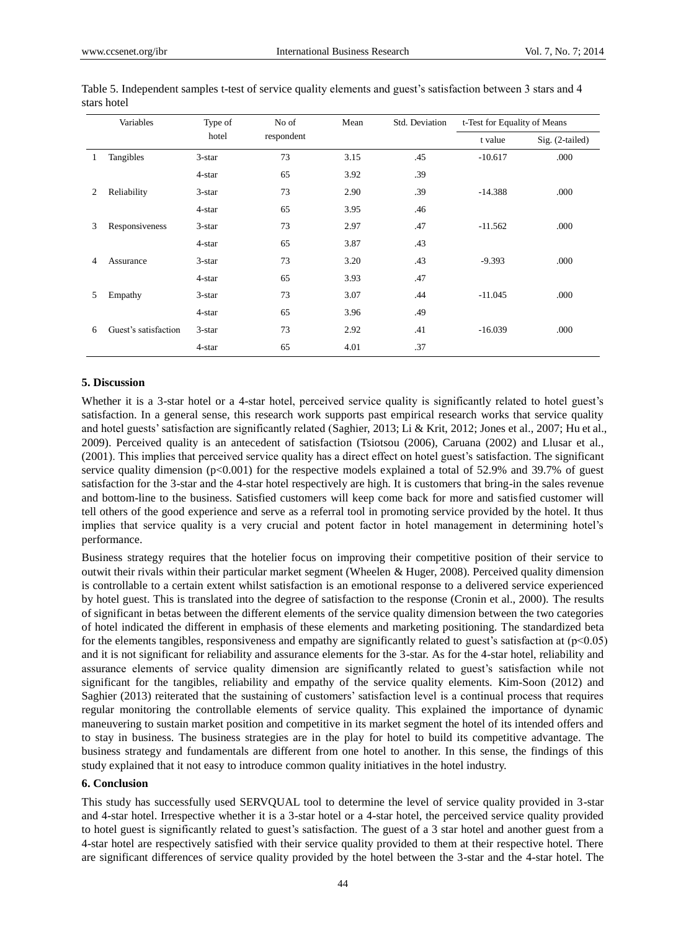| Variables      |                      | Type of   | No of      | Mean<br>Std. Deviation |     | t-Test for Equality of Means |                 |
|----------------|----------------------|-----------|------------|------------------------|-----|------------------------------|-----------------|
|                |                      | hotel     | respondent |                        |     | t value                      | Sig. (2-tailed) |
| 1              | Tangibles            | $3$ -star | 73         | 3.15                   | .45 | $-10.617$                    | .000            |
|                |                      | 4-star    | 65         | 3.92                   | .39 |                              |                 |
| 2              | Reliability          | $3$ -star | 73         | 2.90                   | .39 | $-14.388$                    | .000            |
|                |                      | 4-star    | 65         | 3.95                   | .46 |                              |                 |
| 3              | Responsiveness       | $3$ -star | 73         | 2.97                   | .47 | $-11.562$                    | .000            |
|                |                      | 4-star    | 65         | 3.87                   | .43 |                              |                 |
| $\overline{4}$ | Assurance            | $3$ -star | 73         | 3.20                   | .43 | $-9.393$                     | .000            |
|                |                      | 4-star    | 65         | 3.93                   | .47 |                              |                 |
| 5              | Empathy              | $3$ -star | 73         | 3.07                   | .44 | $-11.045$                    | .000            |
|                |                      | 4-star    | 65         | 3.96                   | .49 |                              |                 |
| 6              | Guest's satisfaction | $3$ -star | 73         | 2.92                   | .41 | $-16.039$                    | .000            |
|                |                      | 4-star    | 65         | 4.01                   | .37 |                              |                 |

Table 5. Independent samples t-test of service quality elements and guest's satisfaction between 3 stars and 4 stars hotel

#### **5. Discussion**

Whether it is a 3-star hotel or a 4-star hotel, perceived service quality is significantly related to hotel guest's satisfaction. In a general sense, this research work supports past empirical research works that service quality and hotel guests' satisfaction are significantly related (Saghier, 2013; Li & Krit, 2012; Jones et al., 2007; Hu et al., 2009). Perceived quality is an antecedent of satisfaction (Tsiotsou (2006), Caruana (2002) and Llusar et al., (2001). This implies that perceived service quality has a direct effect on hotel guest's satisfaction. The significant service quality dimension (p<0.001) for the respective models explained a total of 52.9% and 39.7% of guest satisfaction for the 3-star and the 4-star hotel respectively are high. It is customers that bring-in the sales revenue and bottom-line to the business. Satisfied customers will keep come back for more and satisfied customer will tell others of the good experience and serve as a referral tool in promoting service provided by the hotel. It thus implies that service quality is a very crucial and potent factor in hotel management in determining hotel's performance.

Business strategy requires that the hotelier focus on improving their competitive position of their service to outwit their rivals within their particular market segment (Wheelen & Huger, 2008). Perceived quality dimension is controllable to a certain extent whilst satisfaction is an emotional response to a delivered service experienced by hotel guest. This is translated into the degree of satisfaction to the response (Cronin et al., 2000). The results of significant in betas between the different elements of the service quality dimension between the two categories of hotel indicated the different in emphasis of these elements and marketing positioning. The standardized beta for the elements tangibles, responsiveness and empathy are significantly related to guest's satisfaction at  $(p<0.05)$ and it is not significant for reliability and assurance elements for the 3-star. As for the 4-star hotel, reliability and assurance elements of service quality dimension are significantly related to guest's satisfaction while not significant for the tangibles, reliability and empathy of the service quality elements. Kim-Soon (2012) and Saghier (2013) reiterated that the sustaining of customers' satisfaction level is a continual process that requires regular monitoring the controllable elements of service quality. This explained the importance of dynamic maneuvering to sustain market position and competitive in its market segment the hotel of its intended offers and to stay in business. The business strategies are in the play for hotel to build its competitive advantage. The business strategy and fundamentals are different from one hotel to another. In this sense, the findings of this study explained that it not easy to introduce common quality initiatives in the hotel industry.

## **6. Conclusion**

This study has successfully used SERVQUAL tool to determine the level of service quality provided in 3-star and 4-star hotel. Irrespective whether it is a 3-star hotel or a 4-star hotel, the perceived service quality provided to hotel guest is significantly related to guest's satisfaction. The guest of a 3 star hotel and another guest from a 4-star hotel are respectively satisfied with their service quality provided to them at their respective hotel. There are significant differences of service quality provided by the hotel between the 3-star and the 4-star hotel. The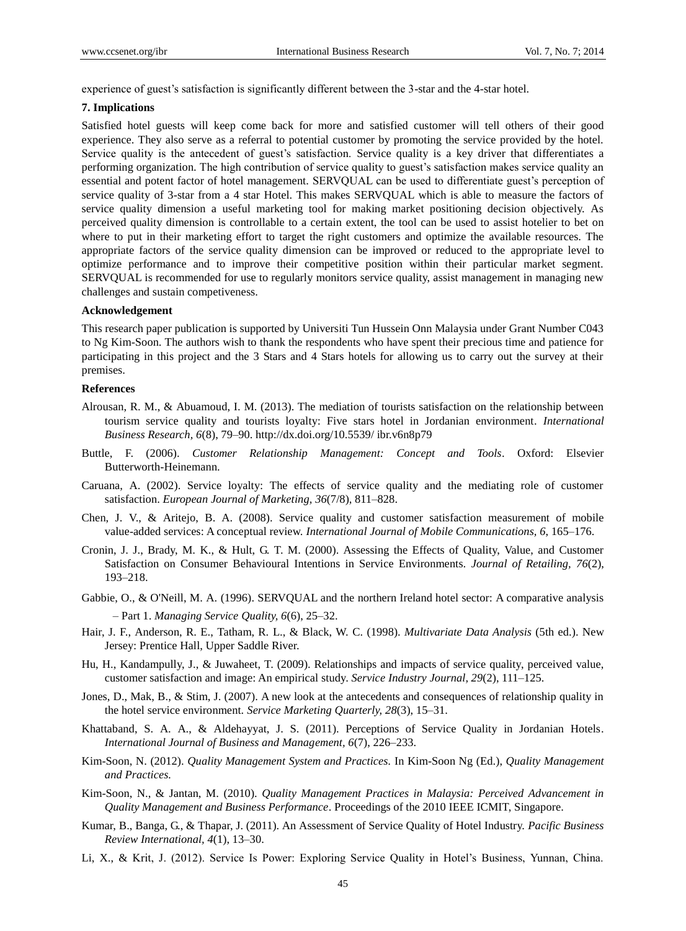experience of guest's satisfaction is significantly different between the 3-star and the 4-star hotel.

#### **7. Implications**

Satisfied hotel guests will keep come back for more and satisfied customer will tell others of their good experience. They also serve as a referral to potential customer by promoting the service provided by the hotel. Service quality is the antecedent of guest's satisfaction. Service quality is a key driver that differentiates a performing organization. The high contribution of service quality to guest's satisfaction makes service quality an essential and potent factor of hotel management. SERVQUAL can be used to differentiate guest's perception of service quality of 3-star from a 4 star Hotel. This makes SERVQUAL which is able to measure the factors of service quality dimension a useful marketing tool for making market positioning decision objectively. As perceived quality dimension is controllable to a certain extent, the tool can be used to assist hotelier to bet on where to put in their marketing effort to target the right customers and optimize the available resources. The appropriate factors of the service quality dimension can be improved or reduced to the appropriate level to optimize performance and to improve their competitive position within their particular market segment. SERVQUAL is recommended for use to regularly monitors service quality, assist management in managing new challenges and sustain competiveness.

## **Acknowledgement**

This research paper publication is supported by Universiti Tun Hussein Onn Malaysia under Grant Number C043 to Ng Kim-Soon. The authors wish to thank the respondents who have spent their precious time and patience for participating in this project and the 3 Stars and 4 Stars hotels for allowing us to carry out the survey at their premises.

## **References**

- Alrousan, R. M., & Abuamoud, I. M. (2013). The mediation of tourists satisfaction on the relationship between tourism service quality and tourists loyalty: Five stars hotel in Jordanian environment. *International Business Research, 6*(8), 79–90. http://dx.doi.org/10.5539/ ibr.v6n8p79
- Buttle, F. (2006). *Customer Relationship Management: Concept and Tools*. Oxford: Elsevier Butterworth-Heinemann.
- Caruana, A. (2002). Service loyalty: The effects of service quality and the mediating role of customer satisfaction. *European Journal of Marketing, 36*(7/8), 811–828.
- Chen, J. V., & Aritejo, B. A. (2008). Service quality and customer satisfaction measurement of mobile value-added services: A conceptual review. *International Journal of Mobile Communications, 6*, 165–176.
- Cronin, J. J., Brady, M. K., & Hult, G. T. M. (2000). Assessing the Effects of Quality, Value, and Customer Satisfaction on Consumer Behavioural Intentions in Service Environments*. Journal of Retailing, 76*(2), 193–218.
- Gabbie, O., & O'Neill, M. A. (1996). SERVQUAL and the northern Ireland hotel sector: A comparative analysis – Part 1. *Managing Service Quality, 6*(6), 25–32.
- Hair, J. F., Anderson, R. E., Tatham, R. L., & Black, W. C. (1998). *Multivariate Data Analysis* (5th ed.). New Jersey: Prentice Hall, Upper Saddle River.
- Hu, H., Kandampully, J., & Juwaheet, T. (2009). Relationships and impacts of service quality, perceived value, customer satisfaction and image: An empirical study. *Service Industry Journal, 29*(2), 111–125.
- Jones, D., Mak, B., & Stim, J. (2007). A new look at the antecedents and consequences of relationship quality in the hotel service environment. *Service Marketing Quarterly, 28*(3), 15–31.
- Khattaband, S. A. A., & Aldehayyat, J. S. (2011). Perceptions of Service Quality in Jordanian Hotels. *International Journal of Business and Management, 6*(7), 226–233.
- Kim-Soon, N. (2012). *Quality Management System and Practices.* In Kim-Soon Ng (Ed.), *Quality Management and Practices.*
- Kim-Soon, N., & Jantan, M. (2010). *Quality Management Practices in Malaysia: Perceived Advancement in Quality Management and Business Performance*. Proceedings of the 2010 IEEE ICMIT, Singapore.
- Kumar, B., Banga, G., & Thapar, J. (2011). An Assessment of Service Quality of Hotel Industry. *Pacific Business Review International, 4*(1), 13–30.
- Li, X., & Krit, J. (2012). Service Is Power: Exploring Service Quality in Hotel's Business, Yunnan, China.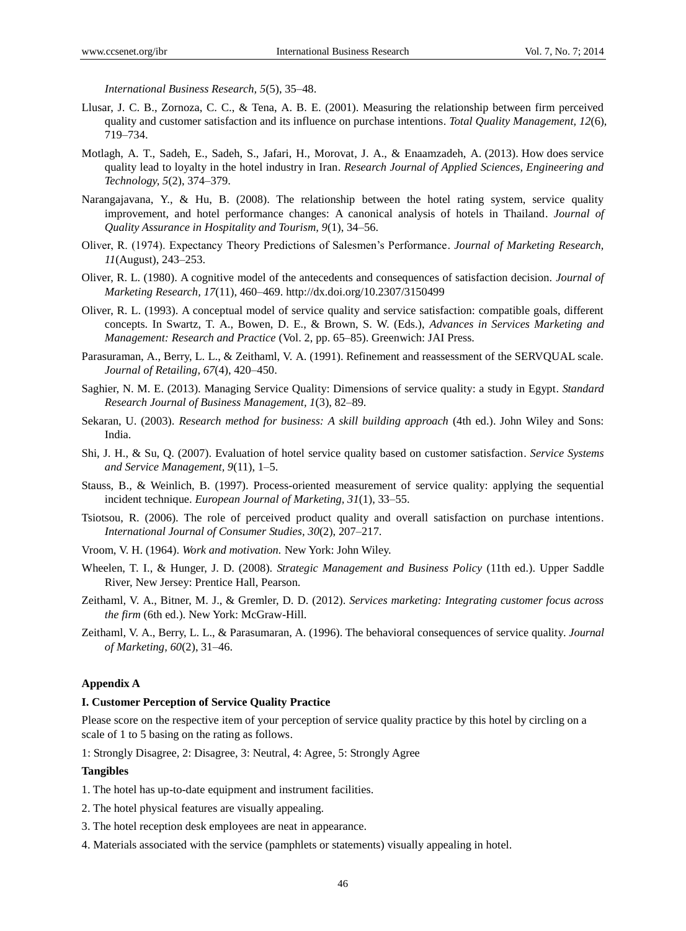*International Business Research, 5*(5), 35–48.

- Llusar, J. C. B., Zornoza, C. C., & Tena, A. B. E. (2001). Measuring the relationship between firm perceived quality and customer satisfaction and its influence on purchase intentions. *Total Quality Management, 12*(6), 719–734.
- Motlagh, A. T., Sadeh, E., Sadeh, S., Jafari, H., Morovat, J. A., & Enaamzadeh, A. (2013). How does service quality lead to loyalty in the hotel industry in Iran. *Research Journal of Applied Sciences, Engineering and Technology, 5*(2), 374–379.
- Narangajavana, Y., & Hu, B. (2008). The relationship between the hotel rating system, service quality improvement, and hotel performance changes: A canonical analysis of hotels in Thailand. *Journal of Quality Assurance in Hospitality and Tourism, 9*(1), 34–56.
- Oliver, R. (1974). Expectancy Theory Predictions of Salesmen's Performance. *Journal of Marketing Research, 11*(August), 243–253.
- Oliver, R. L. (1980). A cognitive model of the antecedents and consequences of satisfaction decision. *Journal of Marketing Research, 17*(11), 460–469. http://dx.doi.org/10.2307/3150499
- Oliver, R. L. (1993). A conceptual model of service quality and service satisfaction: compatible goals, different concepts. In Swartz, T. A., Bowen, D. E., & Brown, S. W. (Eds.), *Advances in Services Marketing and Management: Research and Practice* (Vol. 2, pp. 65–85). Greenwich: JAI Press.
- Parasuraman, A., Berry, L. L., & Zeithaml, V. A. (1991). Refinement and reassessment of the SERVQUAL scale. *Journal of Retailing, 67*(4), 420–450.
- Saghier, N. M. E. (2013). Managing Service Quality: Dimensions of service quality: a study in Egypt. *Standard Research Journal of Business Management, 1*(3), 82–89.
- Sekaran, U. (2003). *Research method for business: A skill building approach* (4th ed.). John Wiley and Sons: India.
- Shi, J. H., & Su, Q. (2007). Evaluation of hotel service quality based on customer satisfaction. *Service Systems and Service Management, 9*(11), 1–5.
- Stauss, B., & Weinlich, B. (1997). Process-oriented measurement of service quality: applying the sequential incident technique. *European Journal of Marketing, 31*(1), 33–55.
- Tsiotsou, R. (2006). The role of perceived product quality and overall satisfaction on purchase intentions. *International Journal of Consumer Studies, 30*(2), 207–217.
- Vroom, V. H. (1964). *Work and motivation.* New York: John Wiley.
- Wheelen, T. I., & Hunger, J. D. (2008). *Strategic Management and Business Policy* (11th ed.). Upper Saddle River, New Jersey: Prentice Hall, Pearson.
- Zeithaml, V. A., Bitner, M. J., & Gremler, D. D. (2012). *Services marketing: Integrating customer focus across the firm* (6th ed.). New York: McGraw-Hill.
- Zeithaml, V. A., Berry, L. L., & Parasumaran, A. (1996). The behavioral consequences of service quality. *Journal of Marketing, 60*(2), 31–46.

## **Appendix A**

#### **I. Customer Perception of Service Quality Practice**

Please score on the respective item of your perception of service quality practice by this hotel by circling on a scale of 1 to 5 basing on the rating as follows.

1: Strongly Disagree, 2: Disagree, 3: Neutral, 4: Agree, 5: Strongly Agree

#### **Tangibles**

- 1. The hotel has up-to-date equipment and instrument facilities.
- 2. The hotel physical features are visually appealing.
- 3. The hotel reception desk employees are neat in appearance.
- 4. Materials associated with the service (pamphlets or statements) visually appealing in hotel.